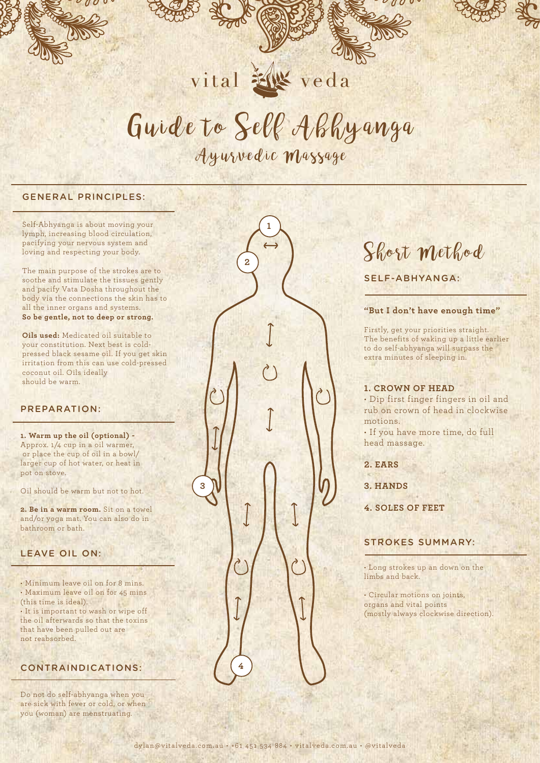

# Guide to Self Abhyanga

vital **XX** veda

Ayurvedic Massage

**2** 

**3**

#### GENERAL PRINCIPLES:

Self-Abhyanga is about moving your lymph, increasing blood circulation, pacifying your nervous system and loving and respecting your body.

The main purpose of the strokes are to soothe and stimulate the tissues gently and pacify Vata Dosha throughout the body via the connections the skin has to all the inner organs and systems. **So be gentle, not to deep or strong.**

**Oils used:** Medicated oil suitable to your constitution. Next best is coldpressed black sesame oil. If you get skin irritation from this can use cold-pressed coconut oil. Oils ideally should be warm.

#### PREPARATION:

**1. Warm up the oil (optional) -**  Approx. 1/4 cup in a oil warmer, or place the cup of oil in a bowl/ larger cup of hot water, or heat in pot on stove.

Oil should be warm but not to hot.

**2. Be in a warm room.** Sit on a towel and/or yoga mat. You can also do in bathroom or bath.

#### LEAVE OIL ON:

• Minimum leave oil on for 8 mins. • Maximum leave oil on for 45 mins (this time is ideal). • It is important to wash or wipe off the oil afterwards so that the toxins that have been pulled out are not reabsorbed.

### CONTRAINDICATIONS:

Do not do self-abhyanga when you are sick with fever or cold, or when you (woman) are menstruating.



**3. HANDS**

**4. SOLES OF FEET**

#### STROKES SUMMARY:

• Long strokes up an down on the limbs and back.

• Circular motions on joints, organs and vital points (mostly always clockwise direction).

**4**